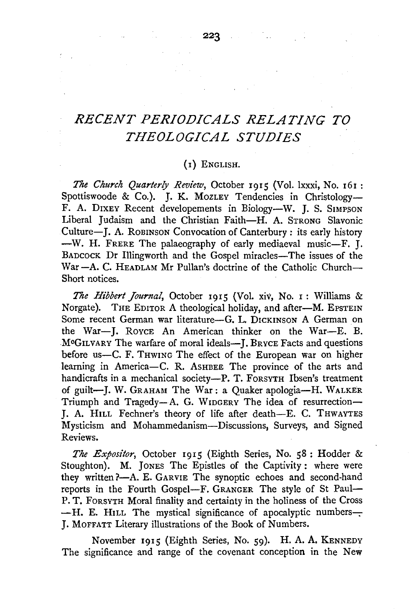## *RECENT PERIODICALS RELATING TO THEOLOGICAL STUDIES*

## $(i)$  English.

*The Church Quarterly Review,* October 1915 (Vol. lxxxi, No. 161 : Spottiswoode & Co.). J. K. MozLEY Tendencies in Christology-F. A. DIXEY Recent developements in Biology-W. J. S. SIMPSON Liberal Judaism and the Christian Faith-H. A. STRONG Slavonic Culture-J. A. ROBINSON Convocation of Canterbury : its early history -W. H. FRERE The palaeography of early mediaeval music-F. J. BADCOCK Dr Illingworth and the Gospel miracles-The issues of the War-A. C. HEADLAM Mr Pullan's doctrine of the Catholic Church-Short notices.

*The Hibbert Journal*, October 1915 (Vol. xiv, No. 1: Williams & Norgate). THE EDITOR A theological holiday, and after-M. EPSTEIN Some recent German war literature-G. L. DICKINSON A German on the War-J. ROYCE An American thinker on the War-E. B. M<sup>c</sup>GILVARY The warfare of moral ideals-J. BRYCE Facts and questions before us-C. F. THWING The effect of the European war on higher learning in America-C. R. ASHBEE The province of the arts and handicrafts in a mechanical society-P. T. FORSYTH Ibsen's treatment of guilt-J. W. GRAHAM The War: a Quaker apologia-H. WALKER Triumph and Tragedy-A. G. WIDGERY The idea of resurrection-J. A. HILL Fechner's theory of life after death-E. C. THWAYTES Mysticism and Mohammedanism-Discussions, Surveys, and Signed Reviews.

*The Expositor,* October 1915 (Eighth Series, No. 58: Hodder & Stoughton). M. JONES The Epistles of the Captivity: where were they written ?- A. E. GARVIE The synoptic echoes and second-hand reports in the Fourth Gospel-F. GRANGER The style of St Paul-P. T. FORSYTH Moral finality and certainty in the holiness of the Cross - H. E. HILL The mystical significance of apocalyptic numbers--J. MOFFATT Literary illustrations of the Book of Numbers.

November 1915 (Eighth Series, No. 59). H. A. A. KENNEDY The significance and range of the covenant conception in the New